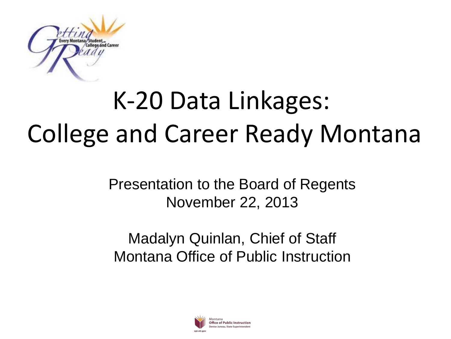

## K-20 Data Linkages: College and Career Ready Montana

Presentation to the Board of Regents November 22, 2013

#### Madalyn Quinlan, Chief of Staff Montana Office of Public Instruction

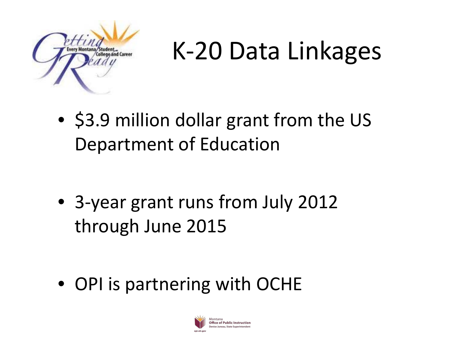

### K-20 Data Linkages

• \$3.9 million dollar grant from the US Department of Education

• 3-year grant runs from July 2012 through June 2015

• OPI is partnering with OCHE

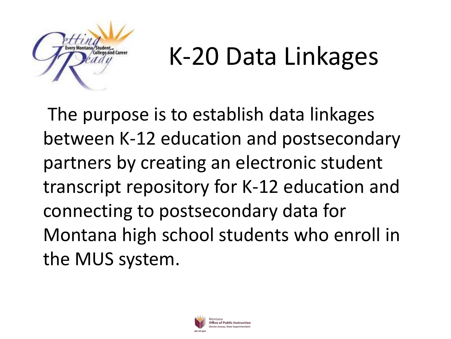

### K-20 Data Linkages

The purpose is to establish data linkages between K-12 education and postsecondary partners by creating an electronic student transcript repository for K-12 education and connecting to postsecondary data for Montana high school students who enroll in the MUS system.

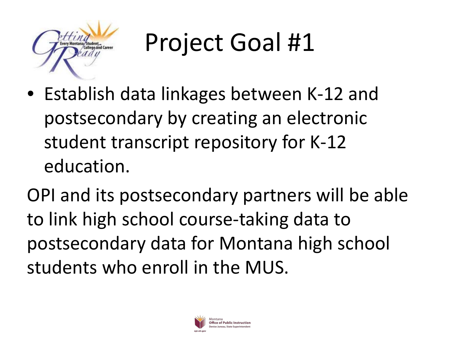

## Project Goal #1

• Establish data linkages between K-12 and postsecondary by creating an electronic student transcript repository for K-12 education.

OPI and its postsecondary partners will be able to link high school course-taking data to postsecondary data for Montana high school students who enroll in the MUS.

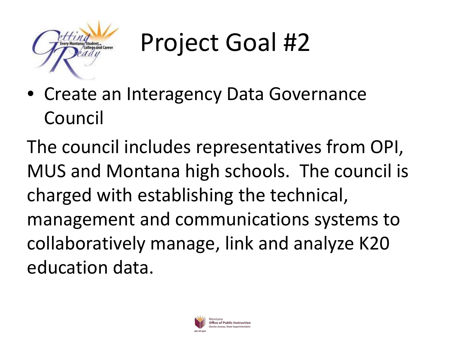

## Project Goal #2

• Create an Interagency Data Governance Council

The council includes representatives from OPI, MUS and Montana high schools. The council is charged with establishing the technical, management and communications systems to collaboratively manage, link and analyze K20 education data.

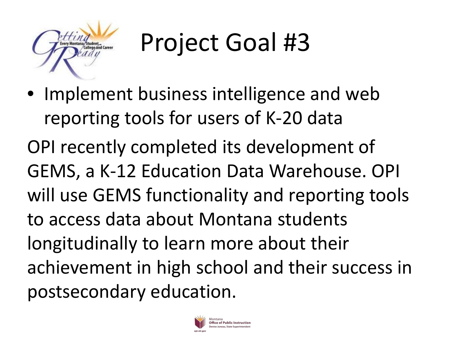

## Project Goal #3

• Implement business intelligence and web reporting tools for users of K-20 data OPI recently completed its development of GEMS, a K-12 Education Data Warehouse. OPI will use GEMS functionality and reporting tools to access data about Montana students longitudinally to learn more about their achievement in high school and their success in postsecondary education.

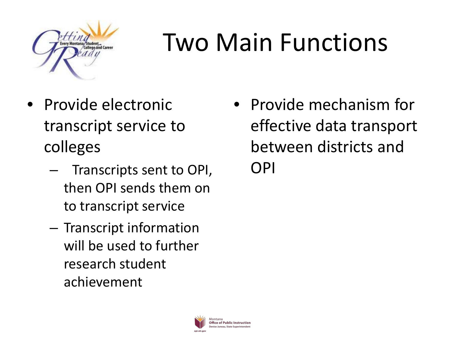

# Two Main Functions

- Provide electronic transcript service to colleges
	- Transcripts sent to OPI, then OPI sends them on to transcript service
	- Transcript information will be used to further research student achievement

• Provide mechanism for effective data transport between districts and OPI

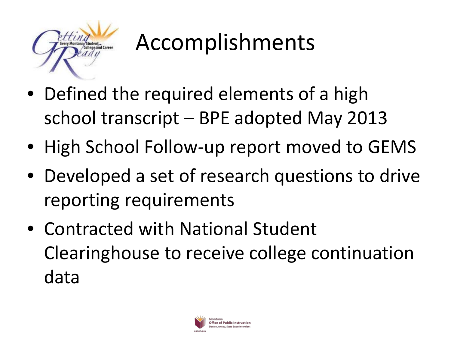

#### Accomplishments

- Defined the required elements of a high school transcript – BPE adopted May 2013
- High School Follow-up report moved to GEMS
- Developed a set of research questions to drive reporting requirements
- Contracted with National Student Clearinghouse to receive college continuation data

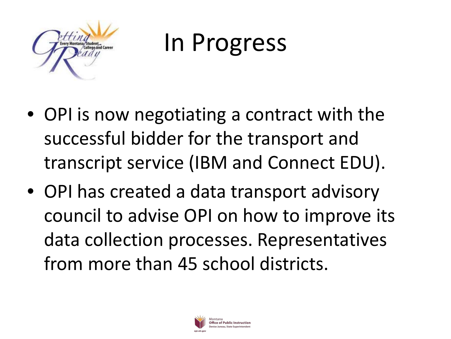

In Progress

- OPI is now negotiating a contract with the successful bidder for the transport and transcript service (IBM and Connect EDU).
- OPI has created a data transport advisory council to advise OPI on how to improve its data collection processes. Representatives from more than 45 school districts.

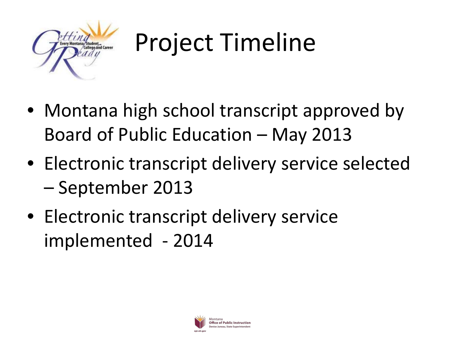

# Project Timeline

- Montana high school transcript approved by Board of Public Education – May 2013
- Electronic transcript delivery service selected – September 2013
- Electronic transcript delivery service implemented - 2014

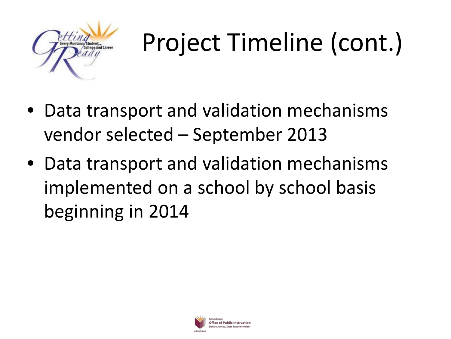

# Project Timeline (cont.)

- Data transport and validation mechanisms vendor selected – September 2013
- Data transport and validation mechanisms implemented on a school by school basis beginning in 2014

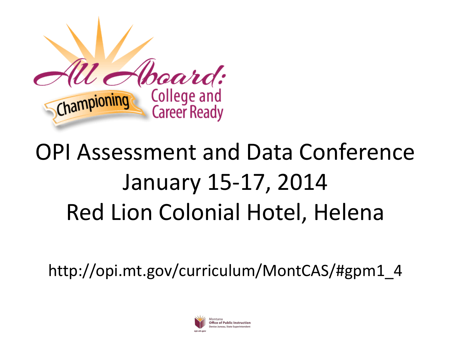

#### OPI Assessment and Data Conference January 15-17, 2014 Red Lion Colonial Hotel, Helena

http://opi.mt.gov/curriculum/MontCAS/#gpm1\_4